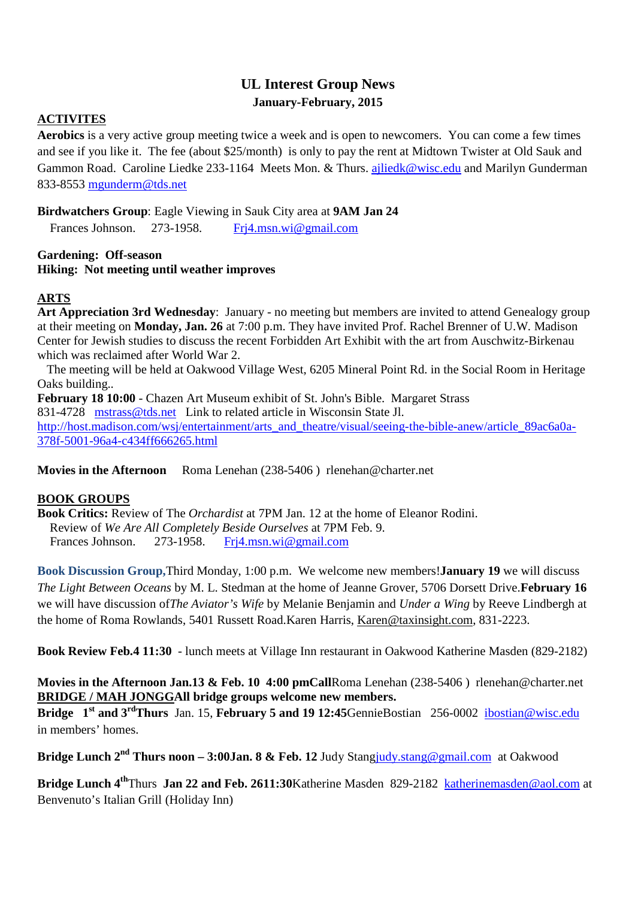# **UL Interest Group News January-February, 2015**

### **ACTIVITES**

**Aerobics** is a very active group meeting twice a week and is open to newcomers. You can come a few times and see if you like it. The fee (about \$25/month) is only to pay the rent at Midtown Twister at Old Sauk and Gammon Road. Caroline Liedke 233-1164 Meets Mon. & Thurs. ajliedk@wisc.edu and Marilyn Gunderman 833-8553 mgunderm@tds.net

#### **Birdwatchers Group**: Eagle Viewing in Sauk City area at **9AM Jan 24**

Frances Johnson. 273-1958. Fri4.msn.wi@gmail.com

#### **Gardening: Off-season Hiking: Not meeting until weather improves**

### **ARTS**

**Art Appreciation 3rd Wednesday**: January - no meeting but members are invited to attend Genealogy group at their meeting on **Monday, Jan. 26** at 7:00 p.m. They have invited Prof. Rachel Brenner of U.W. Madison Center for Jewish studies to discuss the recent Forbidden Art Exhibit with the art from Auschwitz-Birkenau which was reclaimed after World War 2.

 The meeting will be held at Oakwood Village West, 6205 Mineral Point Rd. in the Social Room in Heritage Oaks building..

**February 18 10:00** - Chazen Art Museum exhibit of St. John's Bible. Margaret Strass 831-4728 mstrass@tds.net Link to related article in Wisconsin State Jl. http://host.madison.com/wsj/entertainment/arts\_and\_theatre/visual/seeing-the-bible-anew/article\_89ac6a0a-378f-5001-96a4-c434ff666265.html

**Movies in the Afternoon** Roma Lenehan (238-5406 ) rlenehan@charter.net

#### **BOOK GROUPS**

**Book Critics:** Review of The *Orchardist* at 7PM Jan. 12 at the home of Eleanor Rodini. Review of *We Are All Completely Beside Ourselves* at 7PM Feb. 9. Frances Johnson. 273-1958. Frj4.msn.wi@gmail.com

**Book Discussion Group,**Third Monday, 1:00 p.m. We welcome new members!**January 19** we will discuss *The Light Between Oceans* by M. L. Stedman at the home of Jeanne Grover, 5706 Dorsett Drive.**February 16** we will have discussion of*The Aviator's Wife* by Melanie Benjamin and *Under a Wing* by Reeve Lindbergh at the home of Roma Rowlands, 5401 Russett Road.Karen Harris, Karen@taxinsight.com, 831-2223.

**Book Review Feb.4 11:30** - lunch meets at Village Inn restaurant in Oakwood Katherine Masden (829-2182)

**Movies in the Afternoon Jan.13 & Feb. 10 4:00 pmCall**Roma Lenehan (238-5406 ) rlenehan@charter.net **BRIDGE / MAH JONGGAll bridge groups welcome new members.** 

**Bridge 1st and 3rdThurs** Jan. 15, **February 5 and 19 12:45**GennieBostian 256-0002 ibostian@wisc.edu in members' homes.

**Bridge Lunch 2nd Thurs noon – 3:00Jan. 8 & Feb. 12** Judy Stangjudy.stang@gmail.com at Oakwood

**Bridge Lunch 4th**Thurs **Jan 22 and Feb. 2611:30**Katherine Masden 829-2182 katherinemasden@aol.com at Benvenuto's Italian Grill (Holiday Inn)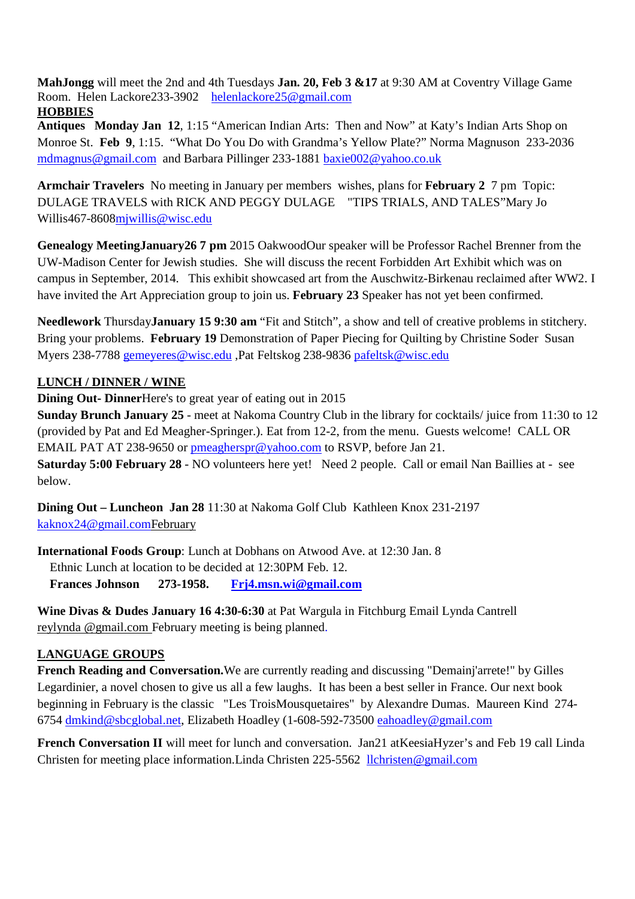**MahJongg** will meet the 2nd and 4th Tuesdays **Jan. 20, Feb 3 &17** at 9:30 AM at Coventry Village Game Room. Helen Lackore233-3902 helenlackore25@gmail.com **HOBBIES**

### **Antiques Monday Jan 12**, 1:15 "American Indian Arts: Then and Now" at Katy's Indian Arts Shop on Monroe St. **Feb 9**, 1:15. "What Do You Do with Grandma's Yellow Plate?" Norma Magnuson 233-2036 mdmagnus@gmail.com and Barbara Pillinger 233-1881 baxie002@yahoo.co.uk

**Armchair Travelers** No meeting in January per members wishes, plans for **February 2** 7 pm Topic: DULAGE TRAVELS with RICK AND PEGGY DULAGE "TIPS TRIALS, AND TALES"Mary Jo Willis467-8608mjwillis@wisc.edu

**Genealogy MeetingJanuary26 7 pm** 2015 OakwoodOur speaker will be Professor Rachel Brenner from the UW-Madison Center for Jewish studies. She will discuss the recent Forbidden Art Exhibit which was on campus in September, 2014. This exhibit showcased art from the Auschwitz-Birkenau reclaimed after WW2. I have invited the Art Appreciation group to join us. **February 23** Speaker has not yet been confirmed.

**Needlework** Thursday**January 15 9:30 am** "Fit and Stitch", a show and tell of creative problems in stitchery. Bring your problems. **February 19** Demonstration of Paper Piecing for Quilting by Christine Soder Susan Myers 238-7788 gemeyeres@wisc.edu ,Pat Feltskog 238-9836 pafeltsk@wisc.edu

# **LUNCH / DINNER / WINE**

**Dining Out- Dinner**Here's to great year of eating out in 2015

**Sunday Brunch January 25** - meet at Nakoma Country Club in the library for cocktails/ juice from 11:30 to 12 (provided by Pat and Ed Meagher-Springer.). Eat from 12-2, from the menu. Guests welcome! CALL OR EMAIL PAT AT 238-9650 or pmeagherspr@yahoo.com to RSVP, before Jan 21. **Saturday 5:00 February 28** - NO volunteers here yet! Need 2 people. Call or email Nan Baillies at - see below.

**Dining Out – Luncheon Jan 28** 11:30 at Nakoma Golf Club Kathleen Knox 231-2197 kaknox24@gmail.comFebruary

**International Foods Group**: Lunch at Dobhans on Atwood Ave. at 12:30 Jan. 8 Ethnic Lunch at location to be decided at 12:30PM Feb. 12.  **Frances Johnson 273-1958. Frj4.msn.wi@gmail.com**

**Wine Divas & Dudes January 16 4:30-6:30** at Pat Wargula in Fitchburg Email Lynda Cantrell reylynda @gmail.com February meeting is being planned.

### **LANGUAGE GROUPS**

**French Reading and Conversation.**We are currently reading and discussing "Demainj'arrete!" by Gilles Legardinier, a novel chosen to give us all a few laughs. It has been a best seller in France. Our next book beginning in February is the classic "Les TroisMousquetaires" by Alexandre Dumas. Maureen Kind 274- 6754 dmkind@sbcglobal.net, Elizabeth Hoadley (1-608-592-73500 eahoadley@gmail.com

**French Conversation II** will meet for lunch and conversation. Jan21 atKeesiaHyzer's and Feb 19 call Linda Christen for meeting place information.Linda Christen 225-5562 llchristen@gmail.com